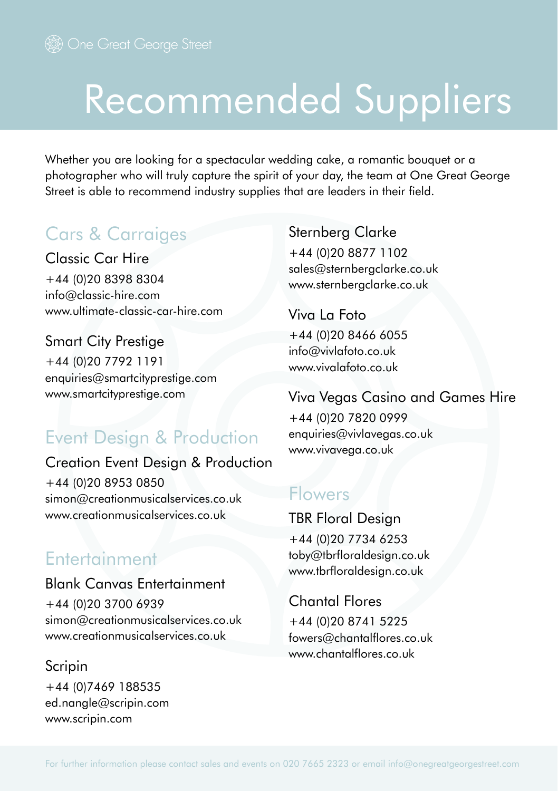# Recommended Suppliers

Whether you are looking for a spectacular wedding cake, a romantic bouquet or a photographer who will truly capture the spirit of your day, the team at One Great George Street is able to recommend industry supplies that are leaders in their field.

# Cars & Carraiges

Classic Car Hire +44 (0)20 8398 8304 info@classic-hire.com www.ultimate-classic-car-hire.com

Smart City Prestige +44 (0)20 7792 1191 enquiries@smartcityprestige.com www.smartcityprestige.com

## Event Design & Production

Creation Event Design & Production +44 (0)20 8953 0850 simon@creationmusicalservices.co.uk www.creationmusicalservices.co.uk

## Entertainment

Blank Canvas Entertainment +44 (0)20 3700 6939 simon@creationmusicalservices.co.uk www.creationmusicalservices.co.uk

Scripin +44 (0)7469 188535 ed.nangle@scripin.com www.scripin.com

Sternberg Clarke

+44 (0)20 8877 1102 sales@sternbergclarke.co.uk www.sternbergclarke.co.uk

Viva La Foto +44 (0)20 8466 6055 info@vivlafoto.co.uk www.vivalafoto.co.uk

#### Viva Vegas Casino and Games Hire

+44 (0)20 7820 0999 enquiries@vivlavegas.co.uk www.vivavega.co.uk

### Flowers

TBR Floral Design +44 (0)20 7734 6253 toby@tbrfloraldesign.co.uk www.tbrfloraldesign.co.uk

#### Chantal Flores

+44 (0)20 8741 5225 fowers@chantalflores.co.uk www.chantalflores.co.uk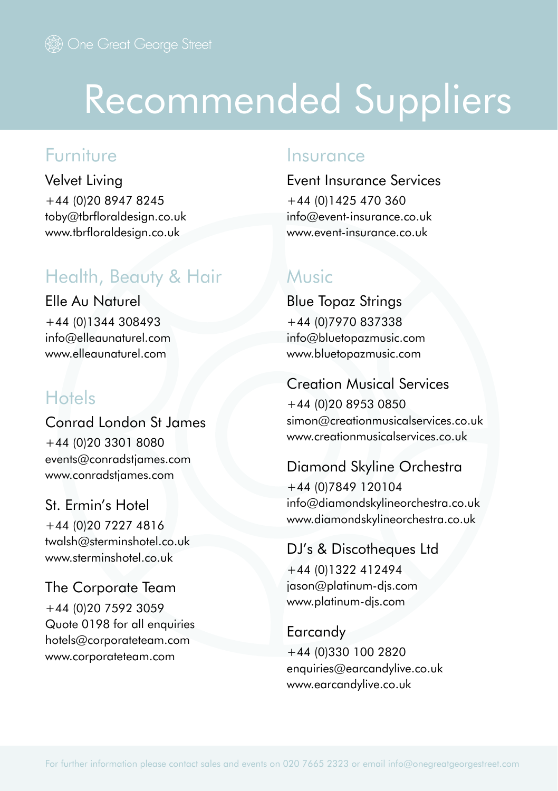# Recommended Suppliers

## Furniture

Velvet Living +44 (0)20 8947 8245 toby@tbrfloraldesign.co.uk www.tbrfloraldesign.co.uk

# Health, Beauty & Hair

Elle Au Naturel +44 (0)1344 308493 info@elleaunaturel.com www.elleaunaturel.com

# **Hotels**

Conrad London St James +44 (0)20 3301 8080 events@conradstjames.com www.conradstjames.com

#### St. Ermin's Hotel

+44 (0)20 7227 4816 twalsh@sterminshotel.co.uk www.sterminshotel.co.uk

The Corporate Team +44 (0)20 7592 3059

Quote 0198 for all enquiries hotels@corporateteam.com www.corporateteam.com

#### Insurance

Event Insurance Services +44 (0)1425 470 360 info@event-insurance.co.uk www.event-insurance.co.uk

### Music

Blue Topaz Strings +44 (0)7970 837338 info@bluetopazmusic.com www.bluetopazmusic.com

#### Creation Musical Services

+44 (0)20 8953 0850 simon@creationmusicalservices.co.uk www.creationmusicalservices.co.uk

#### Diamond Skyline Orchestra

+44 (0)7849 120104 info@diamondskylineorchestra.co.uk www.diamondskylineorchestra.co.uk

#### DJ's & Discotheques Ltd

+44 (0)1322 412494 jason@platinum-djs.com www.platinum-djs.com

#### Earcandy

+44 (0)330 100 2820 enquiries@earcandylive.co.uk www.earcandylive.co.uk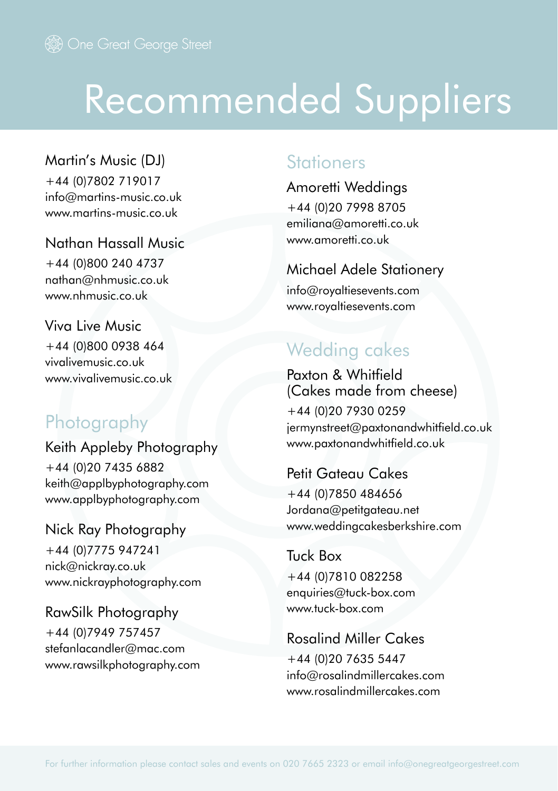# Recommended Suppliers

Martin's Music (DJ) +44 (0)7802 719017 info@martins-music.co.uk www.martins-music.co.uk

Nathan Hassall Music +44 (0)800 240 4737 nathan@nhmusic.co.uk

www.nhmusic.co.uk

Viva Live Music +44 (0)800 0938 464 vivalivemusic.co.uk www.vivalivemusic.co.uk

# **Photography**

Keith Appleby Photography +44 (0)20 7435 6882 keith@applbyphotography.com www.applbyphotography.com

Nick Ray Photography +44 (0)7775 947241 nick@nickray.co.uk www.nickrayphotography.com

RawSilk Photography +44 (0)7949 757457 stefanlacandler@mac.com www.rawsilkphotography.com

### **Stationers**

Amoretti Weddings +44 (0)20 7998 8705 emiliana@amoretti.co.uk www.amoretti.co.uk

#### Michael Adele Stationery

info@royaltiesevents.com www.royaltiesevents.com

# Wedding cakes

Paxton & Whitfield (Cakes made from cheese)

+44 (0)20 7930 0259 jermynstreet@paxtonandwhitfield.co.uk www.paxtonandwhitfield.co.uk

#### Petit Gateau Cakes

+44 (0)7850 484656 Jordana@petitgateau.net www.weddingcakesberkshire.com

#### Tuck Box +44 (0)7810 082258 enquiries@tuck-box.com

www.tuck-box.com

## Rosalind Miller Cakes

+44 (0)20 7635 5447 info@rosalindmillercakes.com www.rosalindmillercakes.com